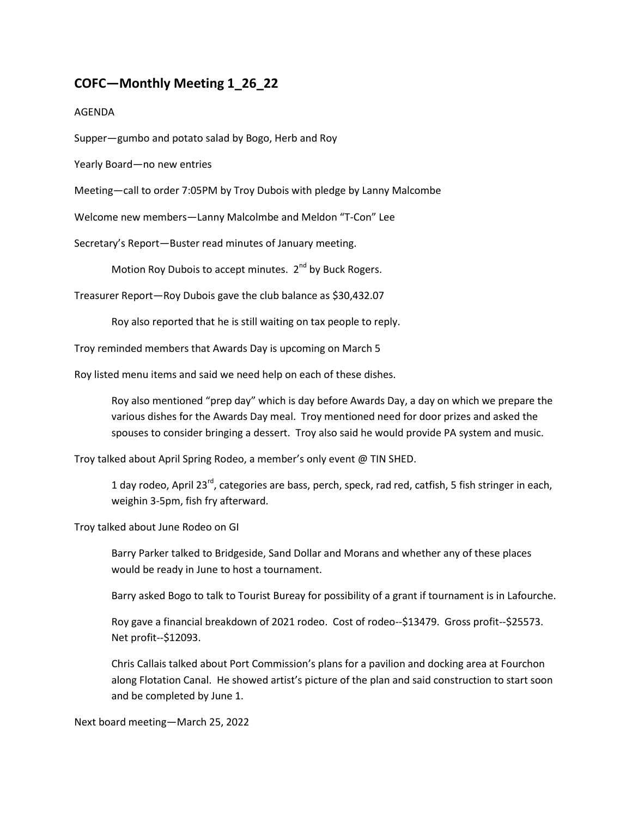## **COFC—Monthly Meeting 1\_26\_22**

## AGENDA

Supper—gumbo and potato salad by Bogo, Herb and Roy

Yearly Board—no new entries

Meeting—call to order 7:05PM by Troy Dubois with pledge by Lanny Malcombe

Welcome new members—Lanny Malcolmbe and Meldon "T-Con" Lee

Secretary's Report—Buster read minutes of January meeting.

Motion Roy Dubois to accept minutes. 2<sup>nd</sup> by Buck Rogers.

Treasurer Report—Roy Dubois gave the club balance as \$30,432.07

Roy also reported that he is still waiting on tax people to reply.

Troy reminded members that Awards Day is upcoming on March 5

Roy listed menu items and said we need help on each of these dishes.

Roy also mentioned "prep day" which is day before Awards Day, a day on which we prepare the various dishes for the Awards Day meal. Troy mentioned need for door prizes and asked the spouses to consider bringing a dessert. Troy also said he would provide PA system and music.

Troy talked about April Spring Rodeo, a member's only event @ TIN SHED.

1 day rodeo, April 23<sup>rd</sup>, categories are bass, perch, speck, rad red, catfish, 5 fish stringer in each, weighin 3-5pm, fish fry afterward.

Troy talked about June Rodeo on GI

Barry Parker talked to Bridgeside, Sand Dollar and Morans and whether any of these places would be ready in June to host a tournament.

Barry asked Bogo to talk to Tourist Bureay for possibility of a grant if tournament is in Lafourche.

Roy gave a financial breakdown of 2021 rodeo. Cost of rodeo--\$13479. Gross profit--\$25573. Net profit--\$12093.

Chris Callais talked about Port Commission's plans for a pavilion and docking area at Fourchon along Flotation Canal. He showed artist's picture of the plan and said construction to start soon and be completed by June 1.

Next board meeting—March 25, 2022